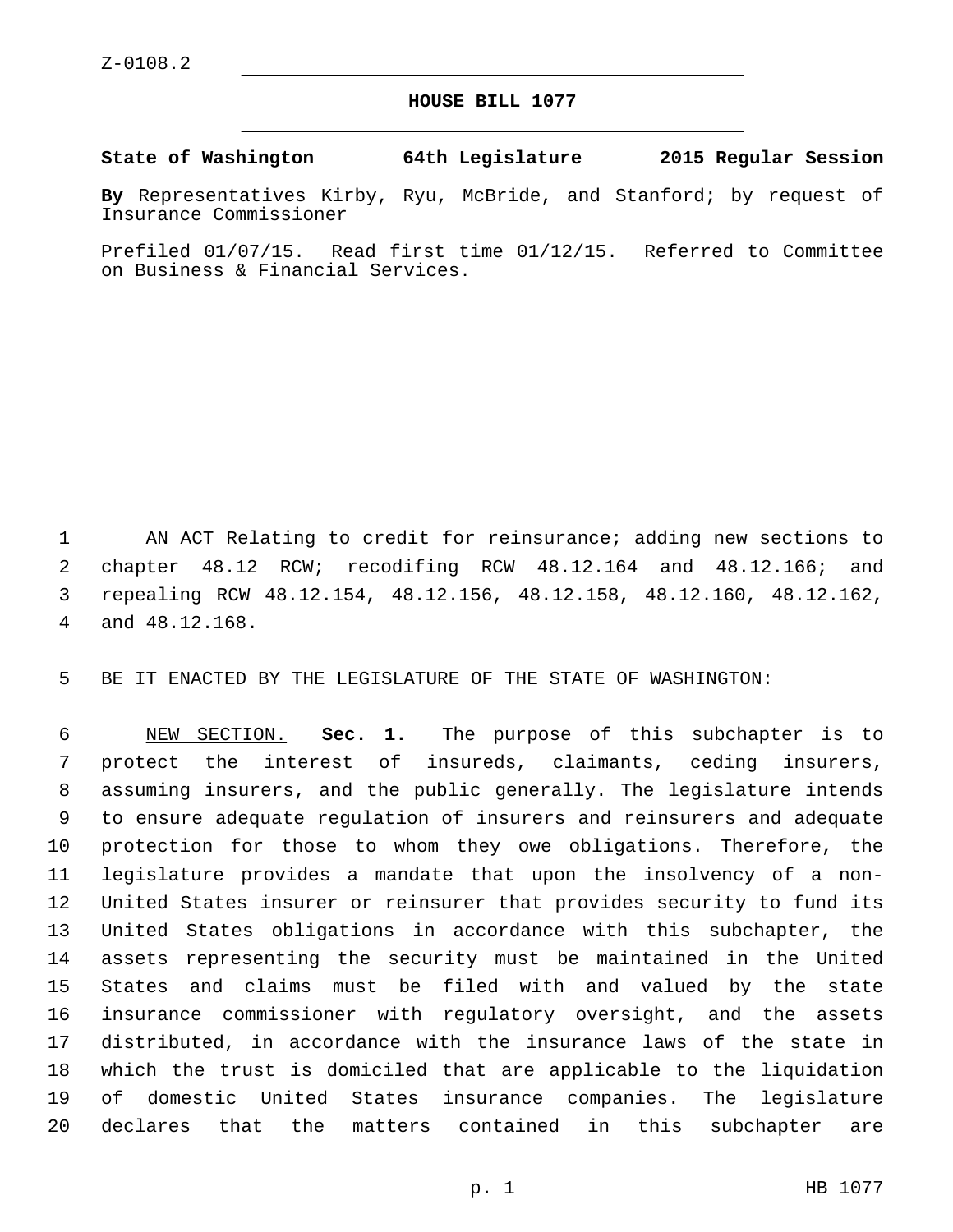## **HOUSE BILL 1077**

**State of Washington 64th Legislature 2015 Regular Session**

**By** Representatives Kirby, Ryu, McBride, and Stanford; by request of Insurance Commissioner

Prefiled 01/07/15. Read first time 01/12/15. Referred to Committee on Business & Financial Services.

 AN ACT Relating to credit for reinsurance; adding new sections to chapter 48.12 RCW; recodifing RCW 48.12.164 and 48.12.166; and repealing RCW 48.12.154, 48.12.156, 48.12.158, 48.12.160, 48.12.162, 4 and 48.12.168.

BE IT ENACTED BY THE LEGISLATURE OF THE STATE OF WASHINGTON:

 NEW SECTION. **Sec. 1.** The purpose of this subchapter is to protect the interest of insureds, claimants, ceding insurers, assuming insurers, and the public generally. The legislature intends to ensure adequate regulation of insurers and reinsurers and adequate protection for those to whom they owe obligations. Therefore, the legislature provides a mandate that upon the insolvency of a non- United States insurer or reinsurer that provides security to fund its United States obligations in accordance with this subchapter, the assets representing the security must be maintained in the United States and claims must be filed with and valued by the state insurance commissioner with regulatory oversight, and the assets distributed, in accordance with the insurance laws of the state in which the trust is domiciled that are applicable to the liquidation of domestic United States insurance companies. The legislature declares that the matters contained in this subchapter are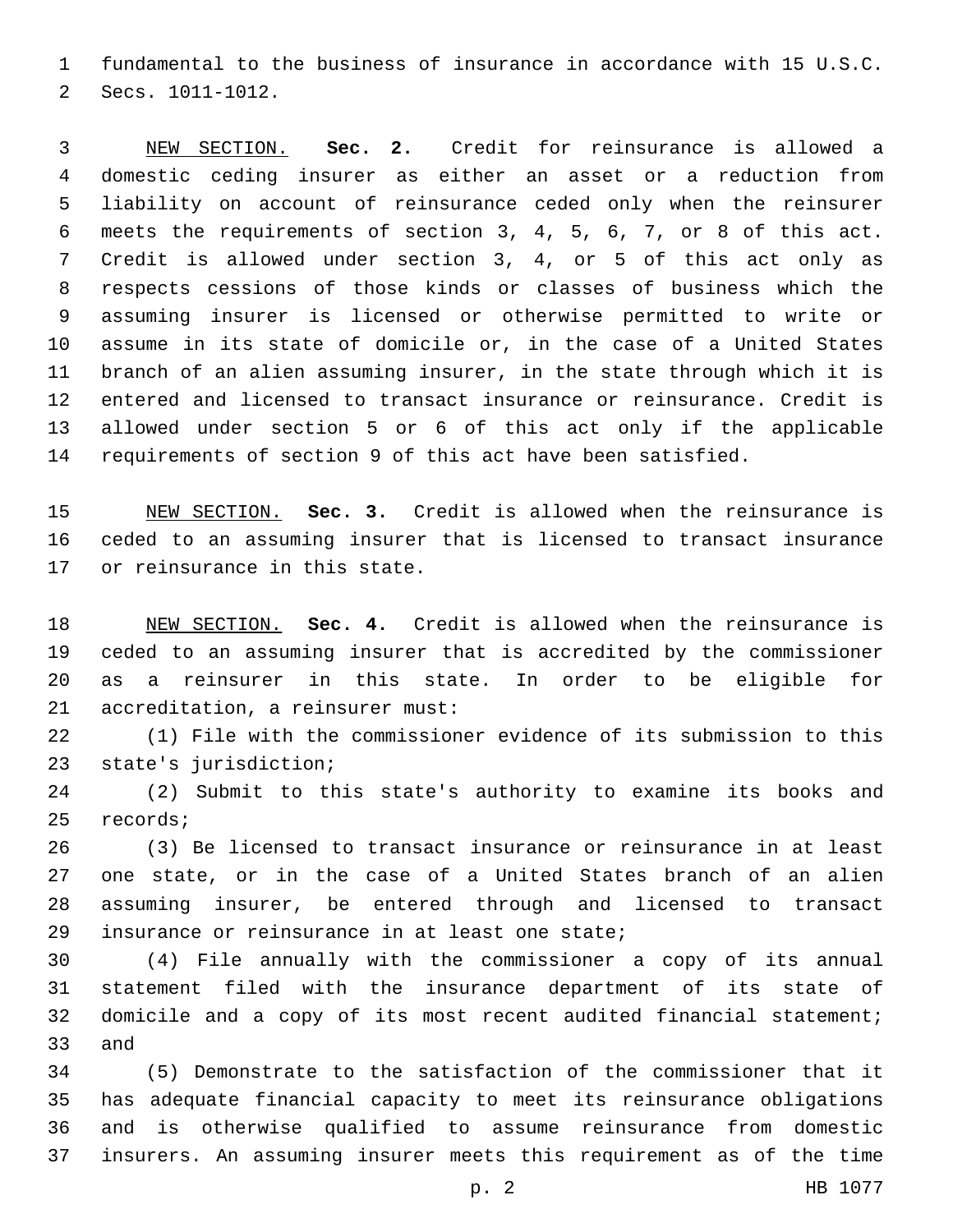fundamental to the business of insurance in accordance with 15 U.S.C. 2 Secs. 1011-1012.

 NEW SECTION. **Sec. 2.** Credit for reinsurance is allowed a domestic ceding insurer as either an asset or a reduction from liability on account of reinsurance ceded only when the reinsurer meets the requirements of section 3, 4, 5, 6, 7, or 8 of this act. Credit is allowed under section 3, 4, or 5 of this act only as respects cessions of those kinds or classes of business which the assuming insurer is licensed or otherwise permitted to write or assume in its state of domicile or, in the case of a United States branch of an alien assuming insurer, in the state through which it is entered and licensed to transact insurance or reinsurance. Credit is allowed under section 5 or 6 of this act only if the applicable requirements of section 9 of this act have been satisfied.

 NEW SECTION. **Sec. 3.** Credit is allowed when the reinsurance is ceded to an assuming insurer that is licensed to transact insurance or reinsurance in this state.

 NEW SECTION. **Sec. 4.** Credit is allowed when the reinsurance is ceded to an assuming insurer that is accredited by the commissioner as a reinsurer in this state. In order to be eligible for accreditation, a reinsurer must:

 (1) File with the commissioner evidence of its submission to this 23 state's jurisdiction;

 (2) Submit to this state's authority to examine its books and 25 records;

 (3) Be licensed to transact insurance or reinsurance in at least one state, or in the case of a United States branch of an alien assuming insurer, be entered through and licensed to transact 29 insurance or reinsurance in at least one state;

 (4) File annually with the commissioner a copy of its annual statement filed with the insurance department of its state of domicile and a copy of its most recent audited financial statement; 33 and

 (5) Demonstrate to the satisfaction of the commissioner that it has adequate financial capacity to meet its reinsurance obligations and is otherwise qualified to assume reinsurance from domestic insurers. An assuming insurer meets this requirement as of the time

p. 2 HB 1077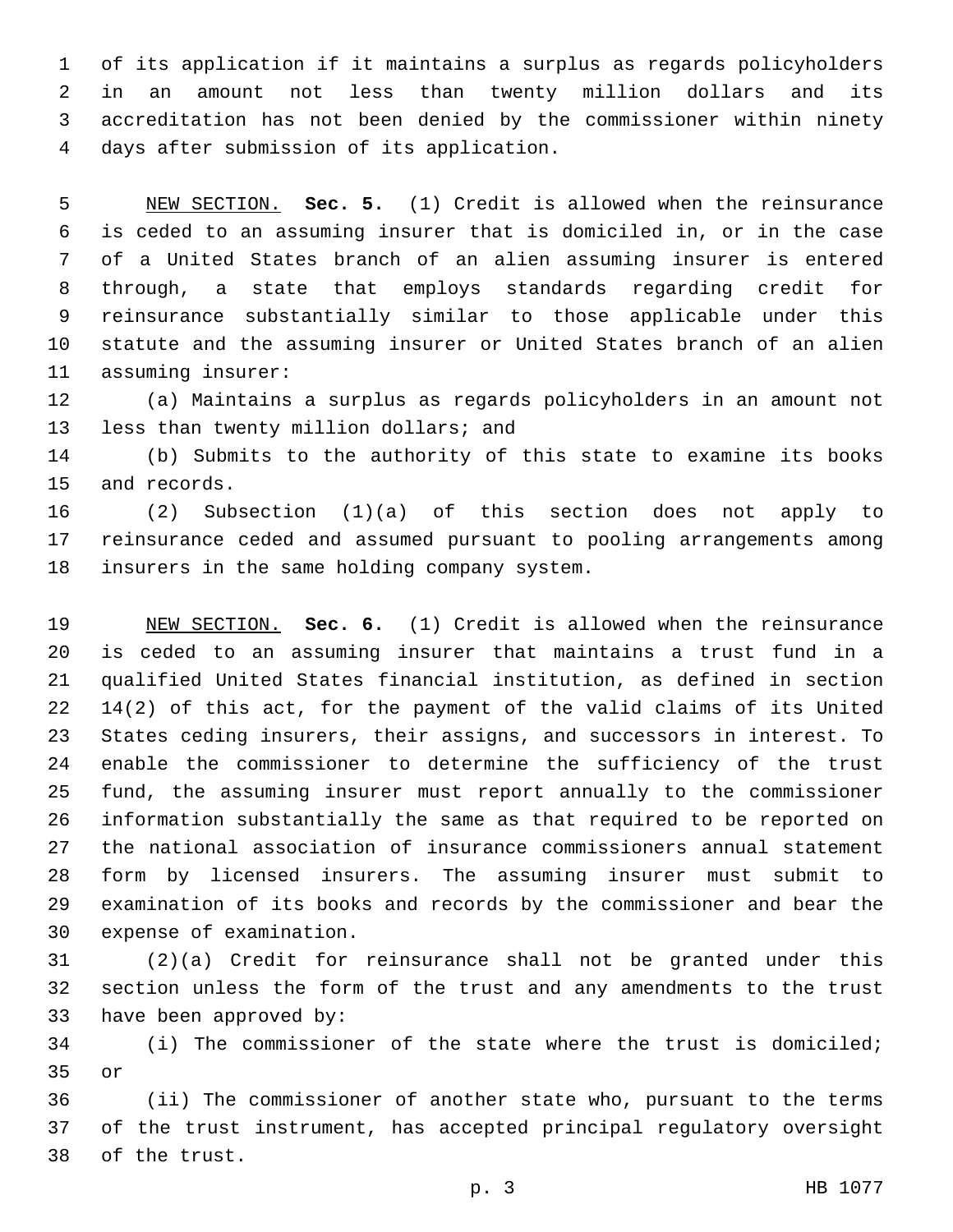of its application if it maintains a surplus as regards policyholders in an amount not less than twenty million dollars and its accreditation has not been denied by the commissioner within ninety days after submission of its application.4

 NEW SECTION. **Sec. 5.** (1) Credit is allowed when the reinsurance is ceded to an assuming insurer that is domiciled in, or in the case of a United States branch of an alien assuming insurer is entered through, a state that employs standards regarding credit for reinsurance substantially similar to those applicable under this statute and the assuming insurer or United States branch of an alien assuming insurer:

 (a) Maintains a surplus as regards policyholders in an amount not 13 less than twenty million dollars; and

 (b) Submits to the authority of this state to examine its books 15 and records.

 (2) Subsection (1)(a) of this section does not apply to reinsurance ceded and assumed pursuant to pooling arrangements among 18 insurers in the same holding company system.

 NEW SECTION. **Sec. 6.** (1) Credit is allowed when the reinsurance is ceded to an assuming insurer that maintains a trust fund in a qualified United States financial institution, as defined in section 14(2) of this act, for the payment of the valid claims of its United States ceding insurers, their assigns, and successors in interest. To enable the commissioner to determine the sufficiency of the trust fund, the assuming insurer must report annually to the commissioner information substantially the same as that required to be reported on the national association of insurance commissioners annual statement form by licensed insurers. The assuming insurer must submit to examination of its books and records by the commissioner and bear the expense of examination.

 (2)(a) Credit for reinsurance shall not be granted under this section unless the form of the trust and any amendments to the trust 33 have been approved by:

 (i) The commissioner of the state where the trust is domiciled; or

 (ii) The commissioner of another state who, pursuant to the terms of the trust instrument, has accepted principal regulatory oversight 38 of the trust.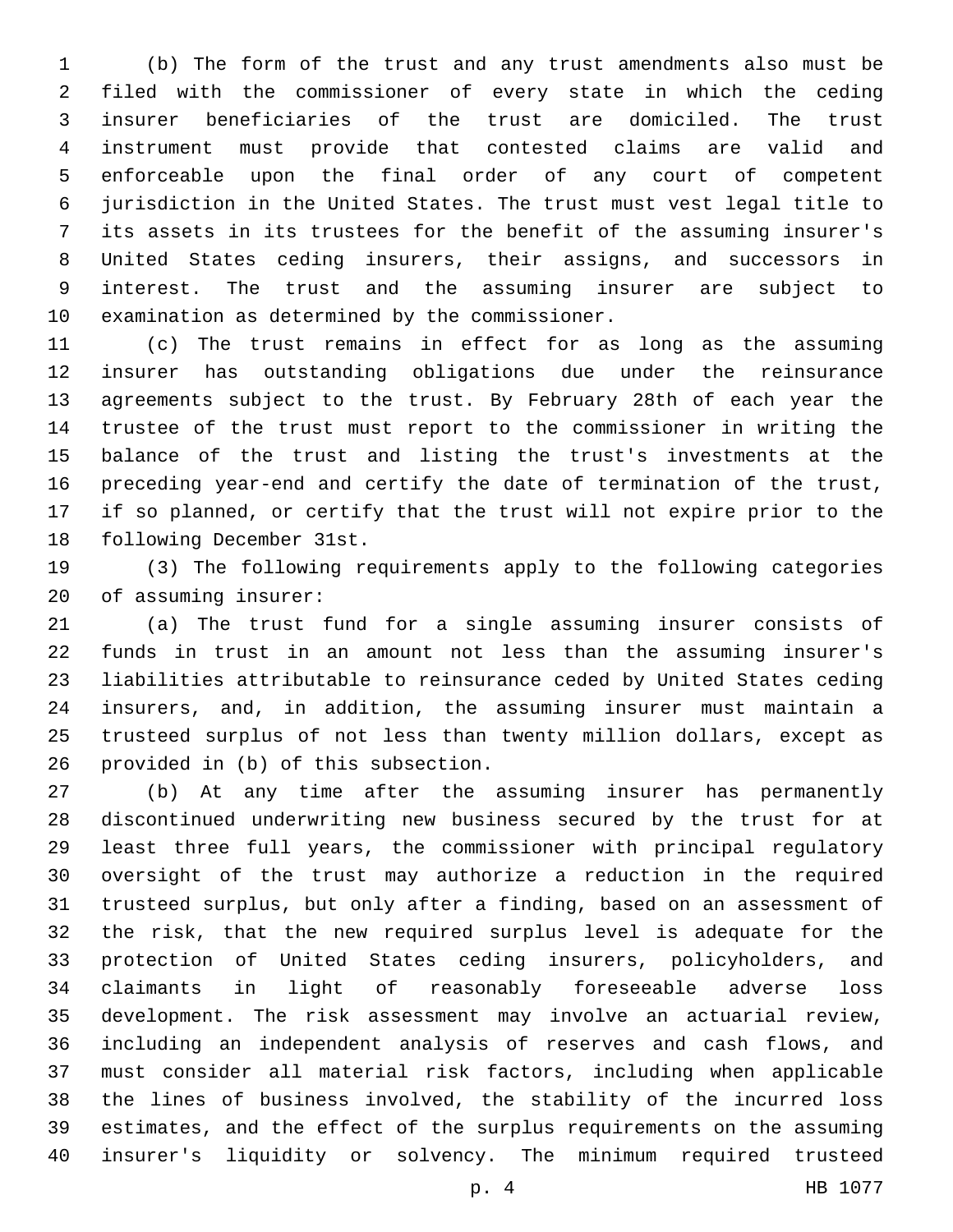(b) The form of the trust and any trust amendments also must be filed with the commissioner of every state in which the ceding insurer beneficiaries of the trust are domiciled. The trust instrument must provide that contested claims are valid and enforceable upon the final order of any court of competent jurisdiction in the United States. The trust must vest legal title to its assets in its trustees for the benefit of the assuming insurer's United States ceding insurers, their assigns, and successors in interest. The trust and the assuming insurer are subject to 10 examination as determined by the commissioner.

 (c) The trust remains in effect for as long as the assuming insurer has outstanding obligations due under the reinsurance agreements subject to the trust. By February 28th of each year the trustee of the trust must report to the commissioner in writing the balance of the trust and listing the trust's investments at the preceding year-end and certify the date of termination of the trust, if so planned, or certify that the trust will not expire prior to the 18 following December 31st.

 (3) The following requirements apply to the following categories 20 of assuming insurer:

 (a) The trust fund for a single assuming insurer consists of funds in trust in an amount not less than the assuming insurer's liabilities attributable to reinsurance ceded by United States ceding insurers, and, in addition, the assuming insurer must maintain a trusteed surplus of not less than twenty million dollars, except as 26 provided in (b) of this subsection.

 (b) At any time after the assuming insurer has permanently discontinued underwriting new business secured by the trust for at least three full years, the commissioner with principal regulatory oversight of the trust may authorize a reduction in the required trusteed surplus, but only after a finding, based on an assessment of the risk, that the new required surplus level is adequate for the protection of United States ceding insurers, policyholders, and claimants in light of reasonably foreseeable adverse loss development. The risk assessment may involve an actuarial review, including an independent analysis of reserves and cash flows, and must consider all material risk factors, including when applicable the lines of business involved, the stability of the incurred loss estimates, and the effect of the surplus requirements on the assuming insurer's liquidity or solvency. The minimum required trusteed

p. 4 HB 1077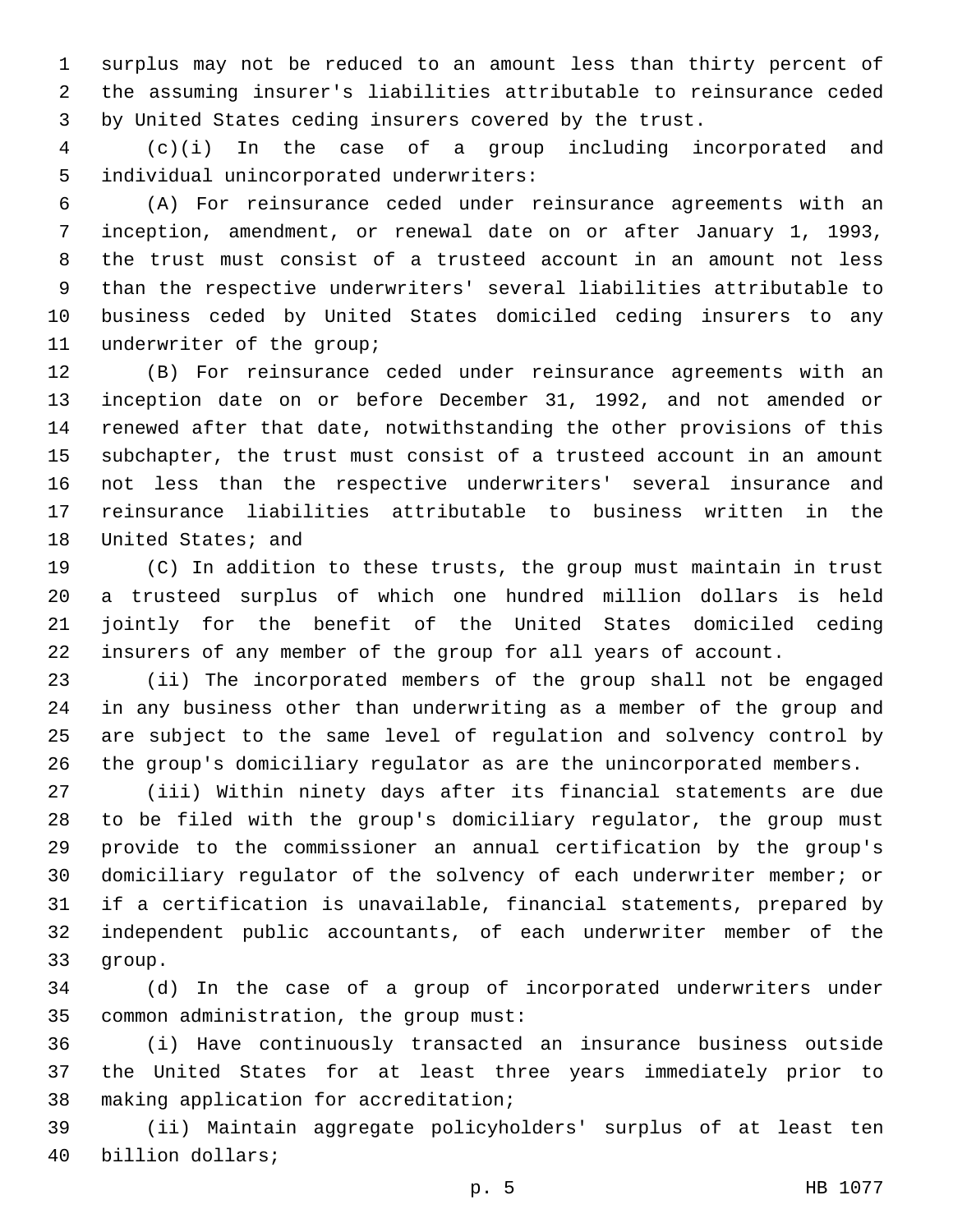surplus may not be reduced to an amount less than thirty percent of the assuming insurer's liabilities attributable to reinsurance ceded by United States ceding insurers covered by the trust.

 (c)(i) In the case of a group including incorporated and 5 individual unincorporated underwriters:

 (A) For reinsurance ceded under reinsurance agreements with an inception, amendment, or renewal date on or after January 1, 1993, the trust must consist of a trusteed account in an amount not less than the respective underwriters' several liabilities attributable to business ceded by United States domiciled ceding insurers to any 11 underwriter of the group;

 (B) For reinsurance ceded under reinsurance agreements with an inception date on or before December 31, 1992, and not amended or renewed after that date, notwithstanding the other provisions of this subchapter, the trust must consist of a trusteed account in an amount not less than the respective underwriters' several insurance and reinsurance liabilities attributable to business written in the 18 United States; and

 (C) In addition to these trusts, the group must maintain in trust a trusteed surplus of which one hundred million dollars is held jointly for the benefit of the United States domiciled ceding insurers of any member of the group for all years of account.

 (ii) The incorporated members of the group shall not be engaged in any business other than underwriting as a member of the group and are subject to the same level of regulation and solvency control by the group's domiciliary regulator as are the unincorporated members.

 (iii) Within ninety days after its financial statements are due to be filed with the group's domiciliary regulator, the group must provide to the commissioner an annual certification by the group's domiciliary regulator of the solvency of each underwriter member; or if a certification is unavailable, financial statements, prepared by independent public accountants, of each underwriter member of the 33 qroup.

 (d) In the case of a group of incorporated underwriters under 35 common administration, the group must:

 (i) Have continuously transacted an insurance business outside the United States for at least three years immediately prior to 38 making application for accreditation;

 (ii) Maintain aggregate policyholders' surplus of at least ten 40 billion dollars;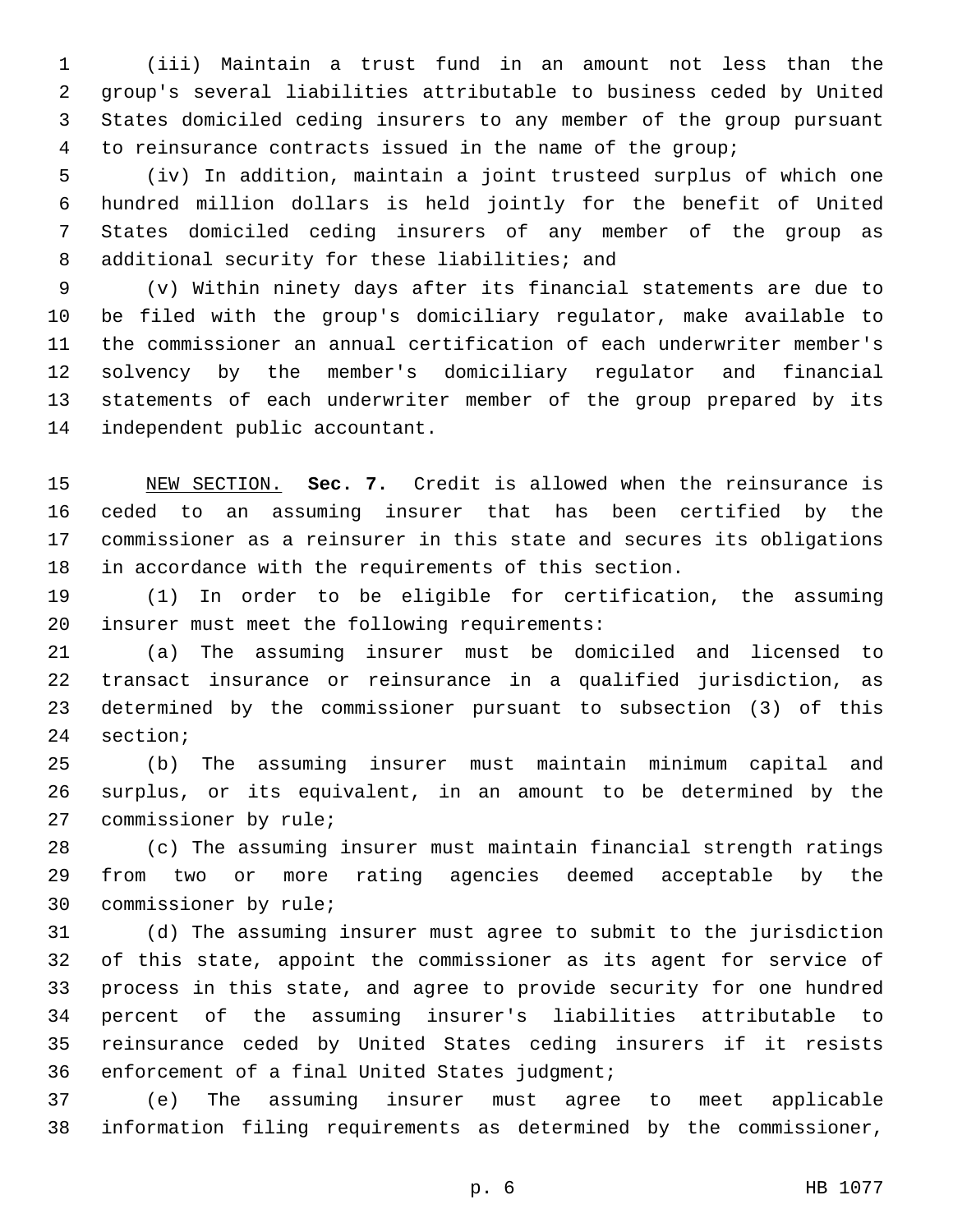(iii) Maintain a trust fund in an amount not less than the group's several liabilities attributable to business ceded by United States domiciled ceding insurers to any member of the group pursuant to reinsurance contracts issued in the name of the group;

 (iv) In addition, maintain a joint trusteed surplus of which one hundred million dollars is held jointly for the benefit of United States domiciled ceding insurers of any member of the group as 8 additional security for these liabilities; and

 (v) Within ninety days after its financial statements are due to be filed with the group's domiciliary regulator, make available to the commissioner an annual certification of each underwriter member's solvency by the member's domiciliary regulator and financial statements of each underwriter member of the group prepared by its 14 independent public accountant.

 NEW SECTION. **Sec. 7.** Credit is allowed when the reinsurance is ceded to an assuming insurer that has been certified by the commissioner as a reinsurer in this state and secures its obligations in accordance with the requirements of this section.

 (1) In order to be eligible for certification, the assuming 20 insurer must meet the following requirements:

 (a) The assuming insurer must be domiciled and licensed to transact insurance or reinsurance in a qualified jurisdiction, as determined by the commissioner pursuant to subsection (3) of this 24 section;

 (b) The assuming insurer must maintain minimum capital and surplus, or its equivalent, in an amount to be determined by the 27 commissioner by rule;

 (c) The assuming insurer must maintain financial strength ratings from two or more rating agencies deemed acceptable by the 30 commissioner by rule;

 (d) The assuming insurer must agree to submit to the jurisdiction of this state, appoint the commissioner as its agent for service of process in this state, and agree to provide security for one hundred percent of the assuming insurer's liabilities attributable to reinsurance ceded by United States ceding insurers if it resists 36 enforcement of a final United States judgment;

 (e) The assuming insurer must agree to meet applicable information filing requirements as determined by the commissioner,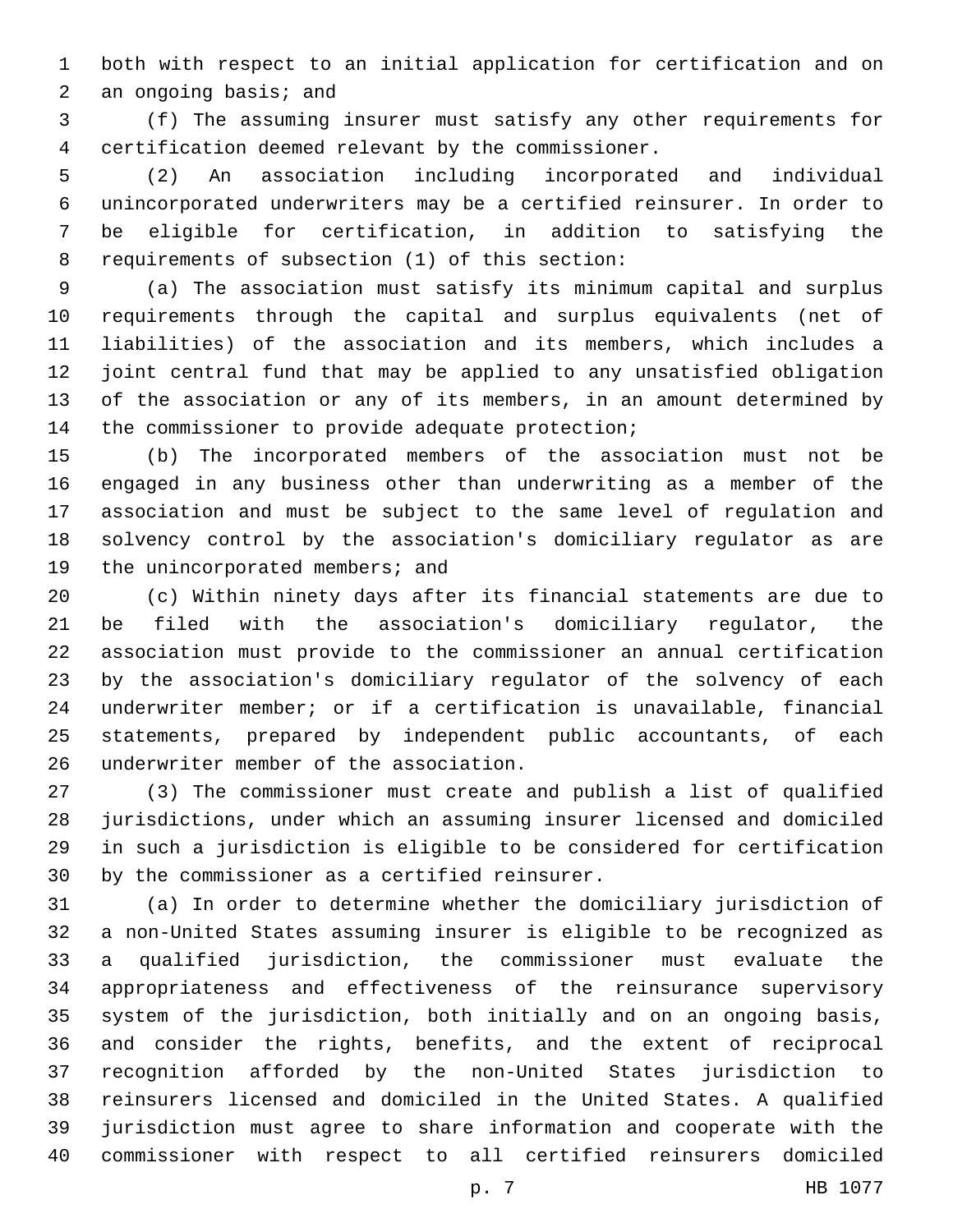both with respect to an initial application for certification and on 2 an ongoing basis; and

 (f) The assuming insurer must satisfy any other requirements for 4 certification deemed relevant by the commissioner.

 (2) An association including incorporated and individual unincorporated underwriters may be a certified reinsurer. In order to be eligible for certification, in addition to satisfying the 8 requirements of subsection (1) of this section:

 (a) The association must satisfy its minimum capital and surplus requirements through the capital and surplus equivalents (net of liabilities) of the association and its members, which includes a joint central fund that may be applied to any unsatisfied obligation of the association or any of its members, in an amount determined by 14 the commissioner to provide adequate protection;

 (b) The incorporated members of the association must not be engaged in any business other than underwriting as a member of the association and must be subject to the same level of regulation and solvency control by the association's domiciliary regulator as are 19 the unincorporated members; and

 (c) Within ninety days after its financial statements are due to be filed with the association's domiciliary regulator, the association must provide to the commissioner an annual certification by the association's domiciliary regulator of the solvency of each underwriter member; or if a certification is unavailable, financial statements, prepared by independent public accountants, of each 26 underwriter member of the association.

 (3) The commissioner must create and publish a list of qualified jurisdictions, under which an assuming insurer licensed and domiciled in such a jurisdiction is eligible to be considered for certification 30 by the commissioner as a certified reinsurer.

 (a) In order to determine whether the domiciliary jurisdiction of a non-United States assuming insurer is eligible to be recognized as a qualified jurisdiction, the commissioner must evaluate the appropriateness and effectiveness of the reinsurance supervisory system of the jurisdiction, both initially and on an ongoing basis, and consider the rights, benefits, and the extent of reciprocal recognition afforded by the non-United States jurisdiction to reinsurers licensed and domiciled in the United States. A qualified jurisdiction must agree to share information and cooperate with the commissioner with respect to all certified reinsurers domiciled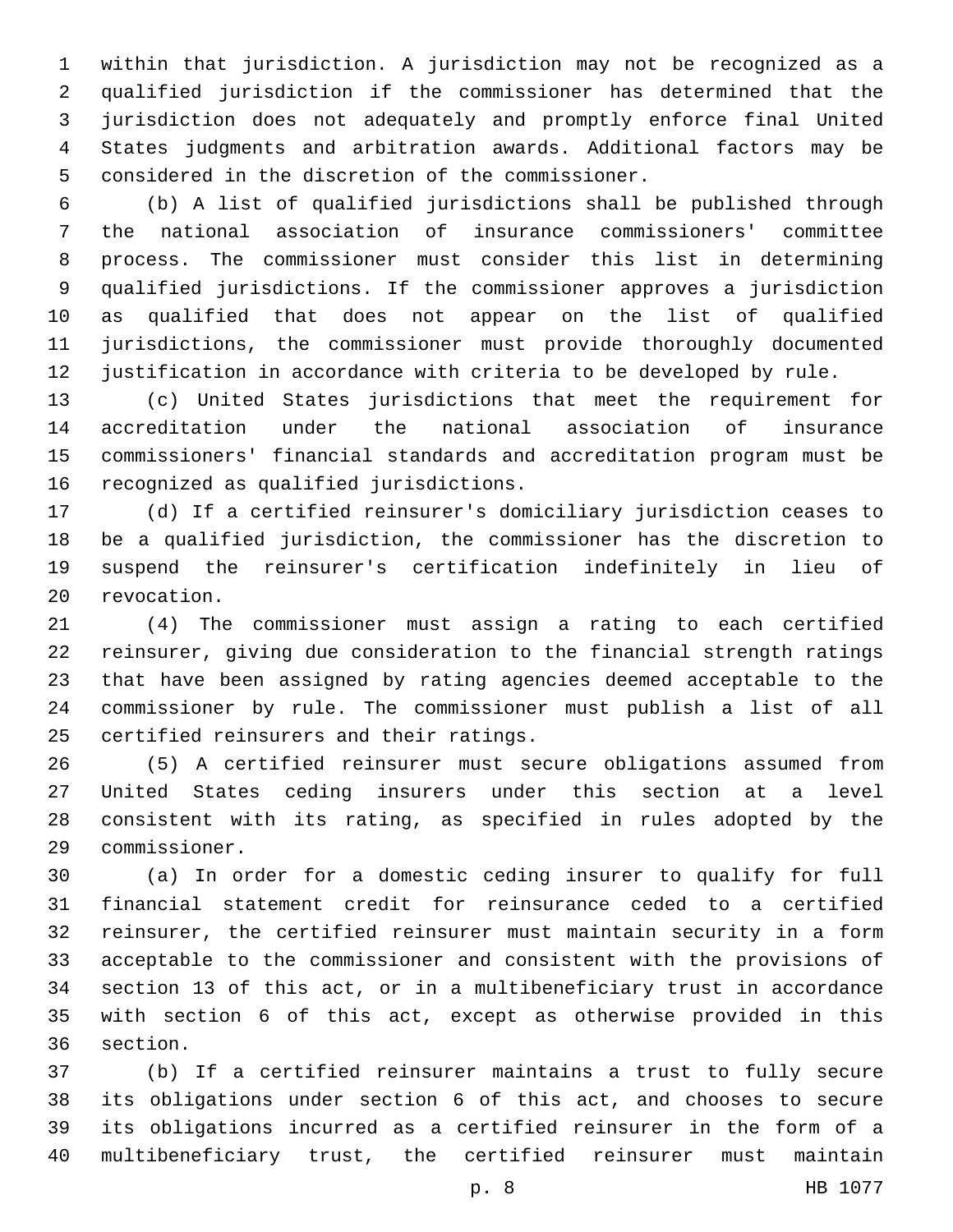within that jurisdiction. A jurisdiction may not be recognized as a qualified jurisdiction if the commissioner has determined that the jurisdiction does not adequately and promptly enforce final United States judgments and arbitration awards. Additional factors may be 5 considered in the discretion of the commissioner.

 (b) A list of qualified jurisdictions shall be published through the national association of insurance commissioners' committee process. The commissioner must consider this list in determining qualified jurisdictions. If the commissioner approves a jurisdiction as qualified that does not appear on the list of qualified jurisdictions, the commissioner must provide thoroughly documented justification in accordance with criteria to be developed by rule.

 (c) United States jurisdictions that meet the requirement for accreditation under the national association of insurance commissioners' financial standards and accreditation program must be 16 recognized as qualified jurisdictions.

 (d) If a certified reinsurer's domiciliary jurisdiction ceases to be a qualified jurisdiction, the commissioner has the discretion to suspend the reinsurer's certification indefinitely in lieu of 20 revocation.

 (4) The commissioner must assign a rating to each certified reinsurer, giving due consideration to the financial strength ratings that have been assigned by rating agencies deemed acceptable to the commissioner by rule. The commissioner must publish a list of all 25 certified reinsurers and their ratings.

 (5) A certified reinsurer must secure obligations assumed from United States ceding insurers under this section at a level consistent with its rating, as specified in rules adopted by the commissioner.29

 (a) In order for a domestic ceding insurer to qualify for full financial statement credit for reinsurance ceded to a certified reinsurer, the certified reinsurer must maintain security in a form acceptable to the commissioner and consistent with the provisions of section 13 of this act, or in a multibeneficiary trust in accordance with section 6 of this act, except as otherwise provided in this 36 section.

 (b) If a certified reinsurer maintains a trust to fully secure its obligations under section 6 of this act, and chooses to secure its obligations incurred as a certified reinsurer in the form of a multibeneficiary trust, the certified reinsurer must maintain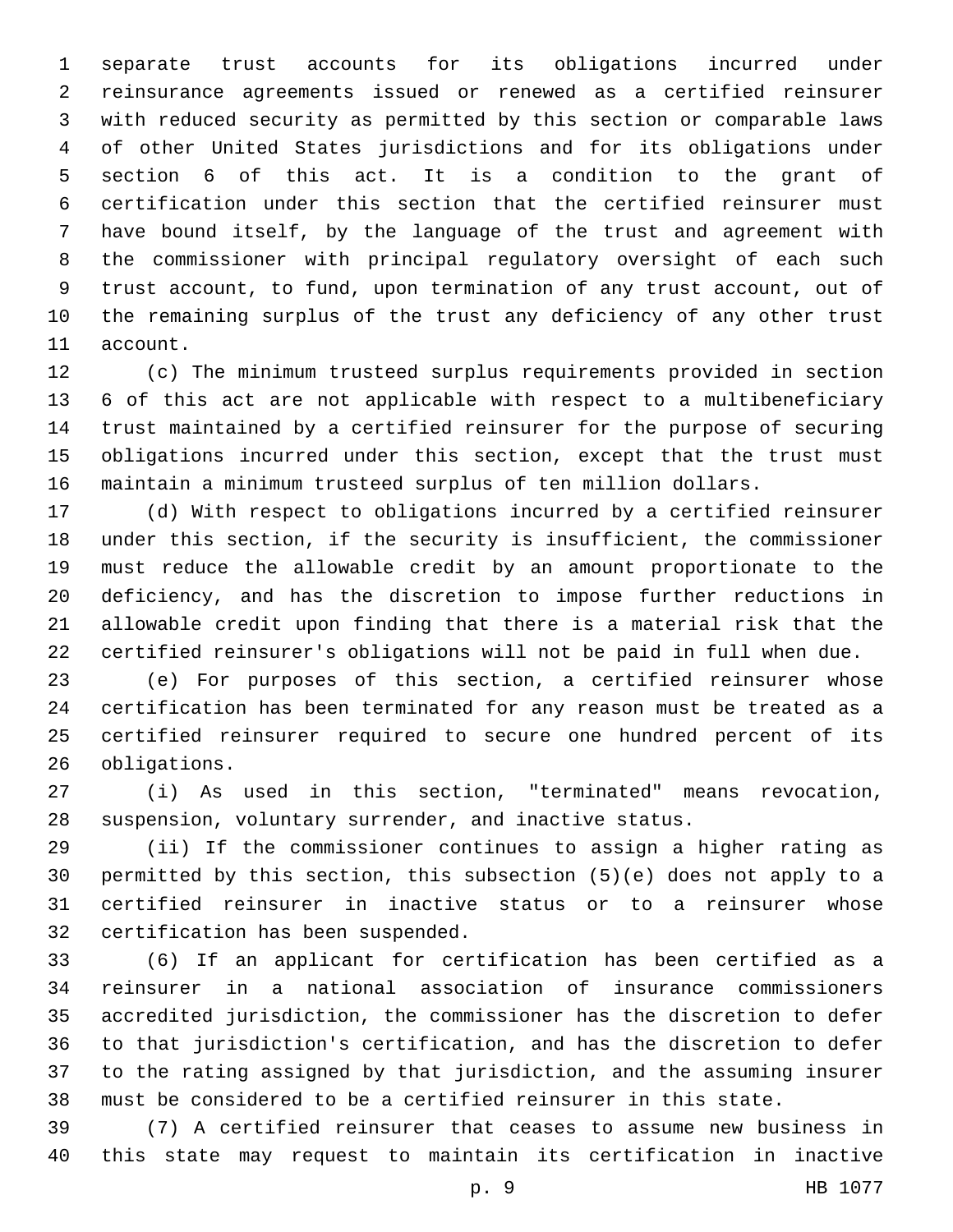separate trust accounts for its obligations incurred under reinsurance agreements issued or renewed as a certified reinsurer with reduced security as permitted by this section or comparable laws of other United States jurisdictions and for its obligations under section 6 of this act. It is a condition to the grant of certification under this section that the certified reinsurer must have bound itself, by the language of the trust and agreement with the commissioner with principal regulatory oversight of each such trust account, to fund, upon termination of any trust account, out of the remaining surplus of the trust any deficiency of any other trust 11 account.

 (c) The minimum trusteed surplus requirements provided in section 6 of this act are not applicable with respect to a multibeneficiary trust maintained by a certified reinsurer for the purpose of securing obligations incurred under this section, except that the trust must maintain a minimum trusteed surplus of ten million dollars.

 (d) With respect to obligations incurred by a certified reinsurer under this section, if the security is insufficient, the commissioner must reduce the allowable credit by an amount proportionate to the deficiency, and has the discretion to impose further reductions in allowable credit upon finding that there is a material risk that the certified reinsurer's obligations will not be paid in full when due.

 (e) For purposes of this section, a certified reinsurer whose certification has been terminated for any reason must be treated as a certified reinsurer required to secure one hundred percent of its 26 obligations.

 (i) As used in this section, "terminated" means revocation, suspension, voluntary surrender, and inactive status.

 (ii) If the commissioner continues to assign a higher rating as permitted by this section, this subsection (5)(e) does not apply to a certified reinsurer in inactive status or to a reinsurer whose 32 certification has been suspended.

 (6) If an applicant for certification has been certified as a reinsurer in a national association of insurance commissioners accredited jurisdiction, the commissioner has the discretion to defer to that jurisdiction's certification, and has the discretion to defer to the rating assigned by that jurisdiction, and the assuming insurer must be considered to be a certified reinsurer in this state.

 (7) A certified reinsurer that ceases to assume new business in this state may request to maintain its certification in inactive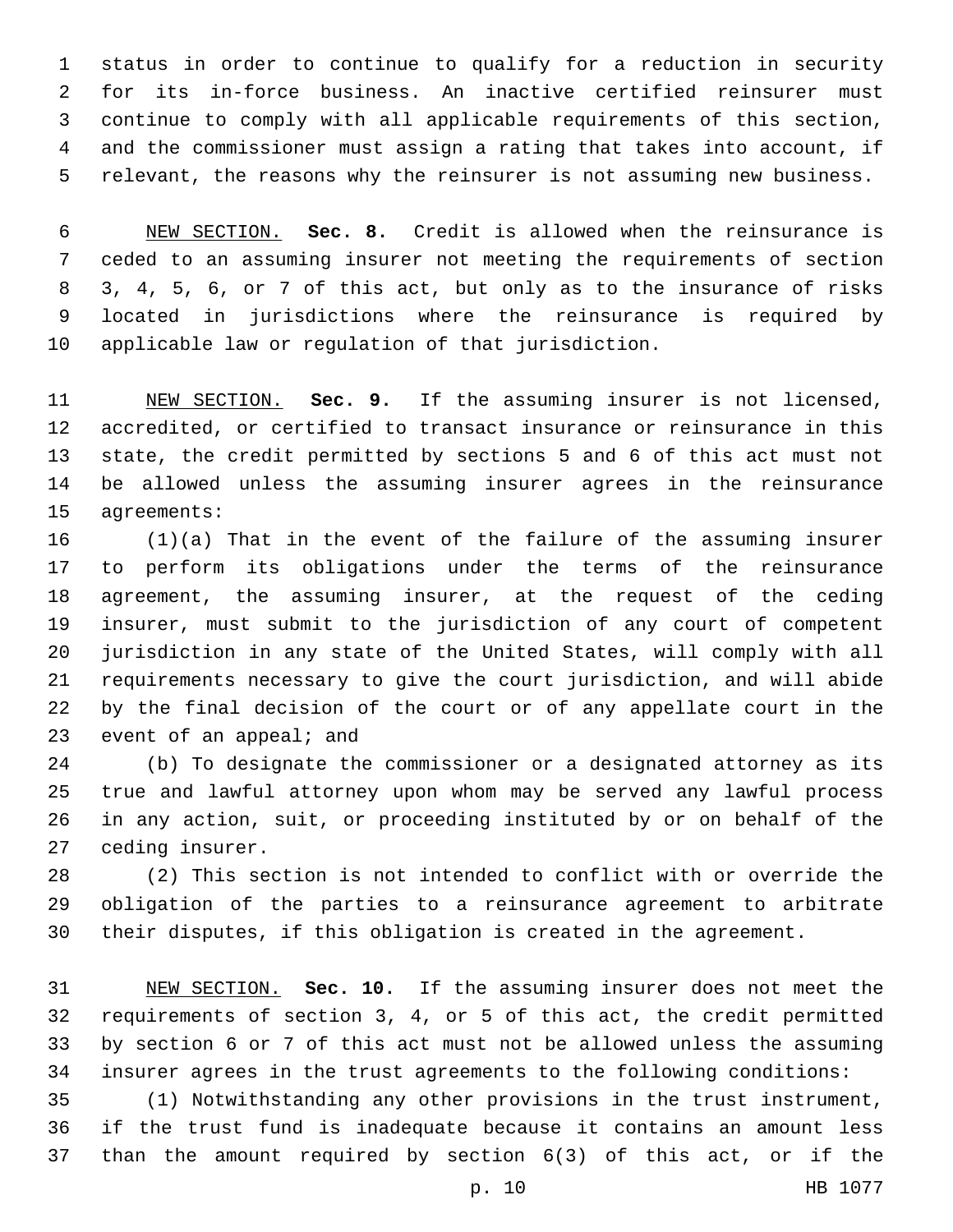status in order to continue to qualify for a reduction in security for its in-force business. An inactive certified reinsurer must continue to comply with all applicable requirements of this section, and the commissioner must assign a rating that takes into account, if relevant, the reasons why the reinsurer is not assuming new business.

 NEW SECTION. **Sec. 8.** Credit is allowed when the reinsurance is ceded to an assuming insurer not meeting the requirements of section 3, 4, 5, 6, or 7 of this act, but only as to the insurance of risks located in jurisdictions where the reinsurance is required by applicable law or regulation of that jurisdiction.

 NEW SECTION. **Sec. 9.** If the assuming insurer is not licensed, accredited, or certified to transact insurance or reinsurance in this state, the credit permitted by sections 5 and 6 of this act must not be allowed unless the assuming insurer agrees in the reinsurance agreements:

 (1)(a) That in the event of the failure of the assuming insurer to perform its obligations under the terms of the reinsurance agreement, the assuming insurer, at the request of the ceding insurer, must submit to the jurisdiction of any court of competent jurisdiction in any state of the United States, will comply with all requirements necessary to give the court jurisdiction, and will abide by the final decision of the court or of any appellate court in the 23 event of an appeal; and

 (b) To designate the commissioner or a designated attorney as its true and lawful attorney upon whom may be served any lawful process in any action, suit, or proceeding instituted by or on behalf of the 27 ceding insurer.

 (2) This section is not intended to conflict with or override the obligation of the parties to a reinsurance agreement to arbitrate their disputes, if this obligation is created in the agreement.

 NEW SECTION. **Sec. 10.** If the assuming insurer does not meet the requirements of section 3, 4, or 5 of this act, the credit permitted by section 6 or 7 of this act must not be allowed unless the assuming insurer agrees in the trust agreements to the following conditions:

 (1) Notwithstanding any other provisions in the trust instrument, if the trust fund is inadequate because it contains an amount less than the amount required by section 6(3) of this act, or if the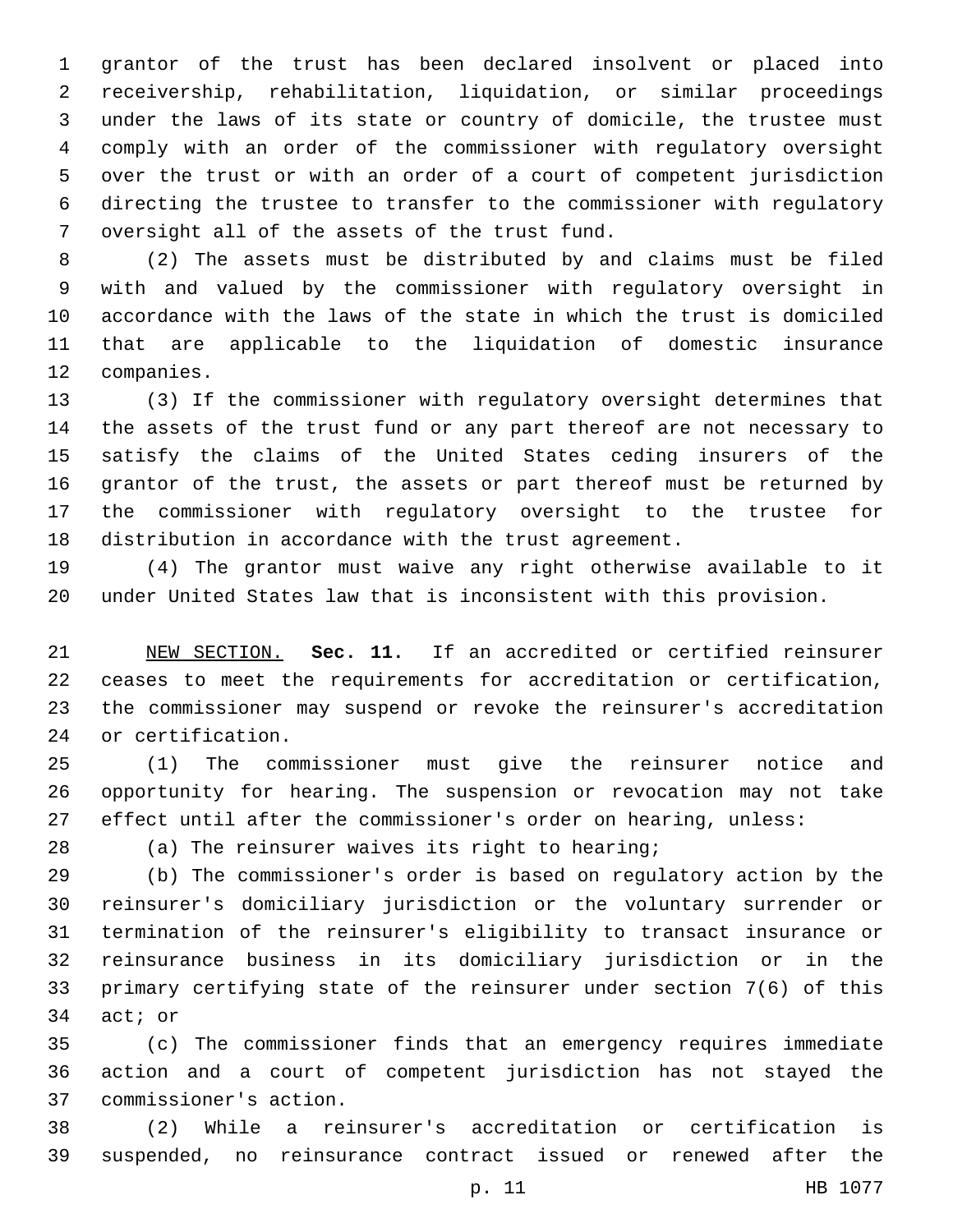grantor of the trust has been declared insolvent or placed into receivership, rehabilitation, liquidation, or similar proceedings under the laws of its state or country of domicile, the trustee must comply with an order of the commissioner with regulatory oversight over the trust or with an order of a court of competent jurisdiction directing the trustee to transfer to the commissioner with regulatory 7 oversight all of the assets of the trust fund.

 (2) The assets must be distributed by and claims must be filed with and valued by the commissioner with regulatory oversight in accordance with the laws of the state in which the trust is domiciled that are applicable to the liquidation of domestic insurance 12 companies.

 (3) If the commissioner with regulatory oversight determines that the assets of the trust fund or any part thereof are not necessary to satisfy the claims of the United States ceding insurers of the grantor of the trust, the assets or part thereof must be returned by the commissioner with regulatory oversight to the trustee for distribution in accordance with the trust agreement.

 (4) The grantor must waive any right otherwise available to it under United States law that is inconsistent with this provision.

 NEW SECTION. **Sec. 11.** If an accredited or certified reinsurer ceases to meet the requirements for accreditation or certification, the commissioner may suspend or revoke the reinsurer's accreditation or certification.

 (1) The commissioner must give the reinsurer notice and opportunity for hearing. The suspension or revocation may not take effect until after the commissioner's order on hearing, unless:

(a) The reinsurer waives its right to hearing;

 (b) The commissioner's order is based on regulatory action by the reinsurer's domiciliary jurisdiction or the voluntary surrender or termination of the reinsurer's eligibility to transact insurance or reinsurance business in its domiciliary jurisdiction or in the primary certifying state of the reinsurer under section 7(6) of this 34 act; or

 (c) The commissioner finds that an emergency requires immediate action and a court of competent jurisdiction has not stayed the commissioner's action.37

 (2) While a reinsurer's accreditation or certification is suspended, no reinsurance contract issued or renewed after the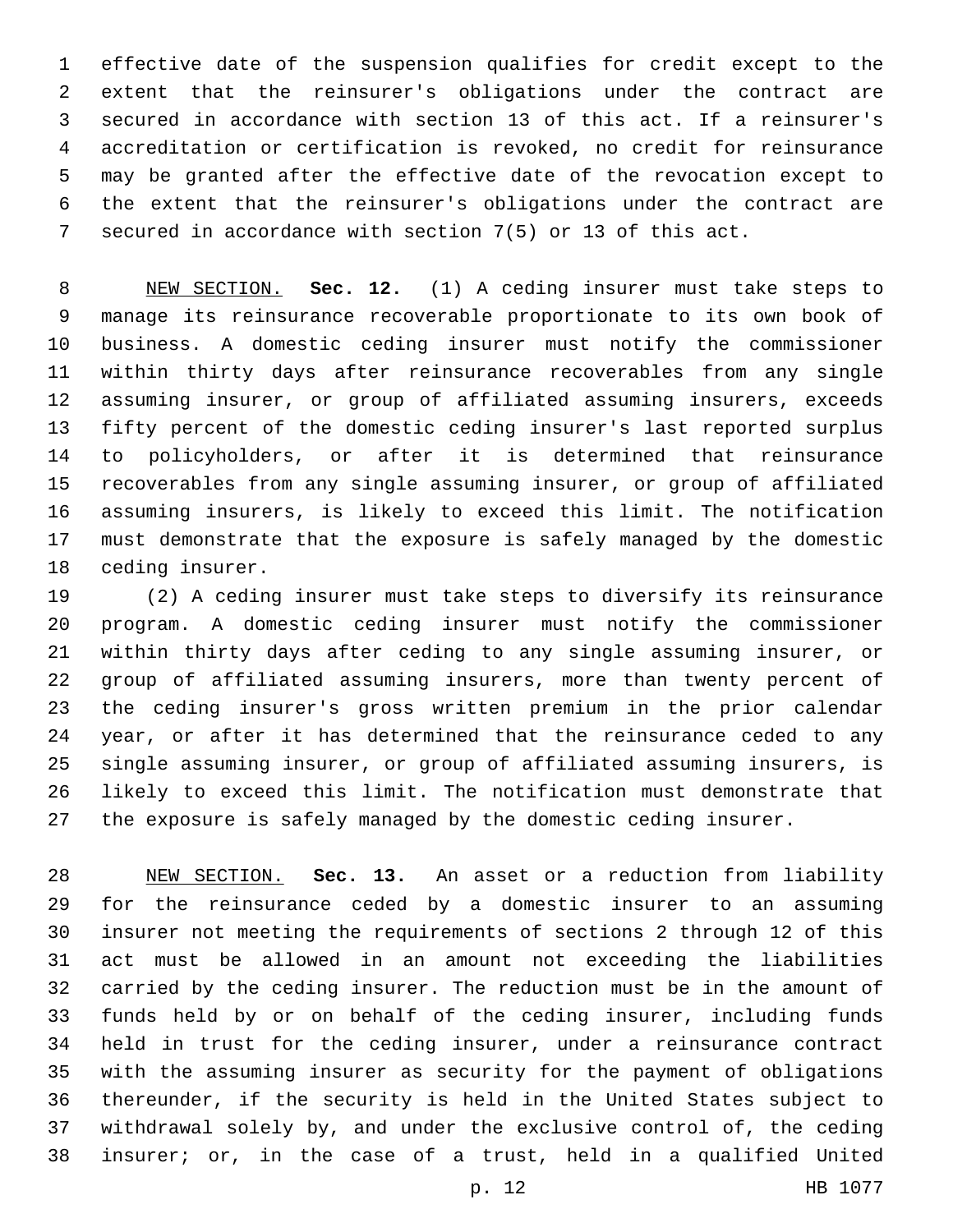effective date of the suspension qualifies for credit except to the extent that the reinsurer's obligations under the contract are secured in accordance with section 13 of this act. If a reinsurer's accreditation or certification is revoked, no credit for reinsurance may be granted after the effective date of the revocation except to the extent that the reinsurer's obligations under the contract are secured in accordance with section 7(5) or 13 of this act.

 NEW SECTION. **Sec. 12.** (1) A ceding insurer must take steps to manage its reinsurance recoverable proportionate to its own book of business. A domestic ceding insurer must notify the commissioner within thirty days after reinsurance recoverables from any single assuming insurer, or group of affiliated assuming insurers, exceeds fifty percent of the domestic ceding insurer's last reported surplus to policyholders, or after it is determined that reinsurance recoverables from any single assuming insurer, or group of affiliated assuming insurers, is likely to exceed this limit. The notification must demonstrate that the exposure is safely managed by the domestic ceding insurer.

 (2) A ceding insurer must take steps to diversify its reinsurance program. A domestic ceding insurer must notify the commissioner within thirty days after ceding to any single assuming insurer, or group of affiliated assuming insurers, more than twenty percent of the ceding insurer's gross written premium in the prior calendar year, or after it has determined that the reinsurance ceded to any single assuming insurer, or group of affiliated assuming insurers, is likely to exceed this limit. The notification must demonstrate that the exposure is safely managed by the domestic ceding insurer.

 NEW SECTION. **Sec. 13.** An asset or a reduction from liability for the reinsurance ceded by a domestic insurer to an assuming insurer not meeting the requirements of sections 2 through 12 of this act must be allowed in an amount not exceeding the liabilities carried by the ceding insurer. The reduction must be in the amount of funds held by or on behalf of the ceding insurer, including funds held in trust for the ceding insurer, under a reinsurance contract with the assuming insurer as security for the payment of obligations thereunder, if the security is held in the United States subject to withdrawal solely by, and under the exclusive control of, the ceding insurer; or, in the case of a trust, held in a qualified United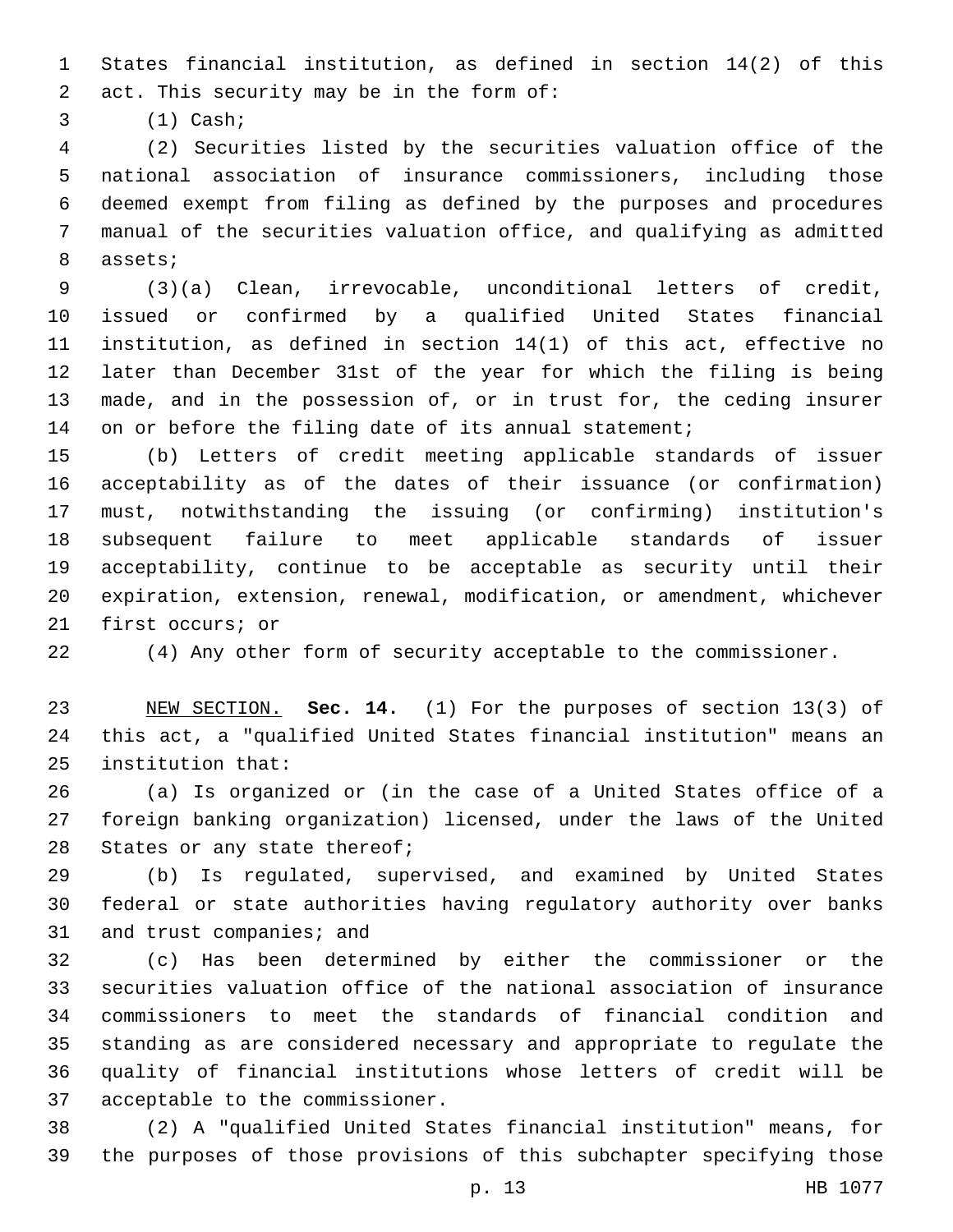States financial institution, as defined in section 14(2) of this 2 act. This security may be in the form of:

(1) Cash;3

 (2) Securities listed by the securities valuation office of the national association of insurance commissioners, including those deemed exempt from filing as defined by the purposes and procedures manual of the securities valuation office, and qualifying as admitted 8 assets;

 (3)(a) Clean, irrevocable, unconditional letters of credit, issued or confirmed by a qualified United States financial institution, as defined in section 14(1) of this act, effective no later than December 31st of the year for which the filing is being made, and in the possession of, or in trust for, the ceding insurer 14 on or before the filing date of its annual statement;

 (b) Letters of credit meeting applicable standards of issuer acceptability as of the dates of their issuance (or confirmation) must, notwithstanding the issuing (or confirming) institution's subsequent failure to meet applicable standards of issuer acceptability, continue to be acceptable as security until their expiration, extension, renewal, modification, or amendment, whichever 21 first occurs; or

(4) Any other form of security acceptable to the commissioner.

 NEW SECTION. **Sec. 14.** (1) For the purposes of section 13(3) of this act, a "qualified United States financial institution" means an institution that:

 (a) Is organized or (in the case of a United States office of a foreign banking organization) licensed, under the laws of the United 28 States or any state thereof;

 (b) Is regulated, supervised, and examined by United States federal or state authorities having regulatory authority over banks 31 and trust companies; and

 (c) Has been determined by either the commissioner or the securities valuation office of the national association of insurance commissioners to meet the standards of financial condition and standing as are considered necessary and appropriate to regulate the quality of financial institutions whose letters of credit will be 37 acceptable to the commissioner.

 (2) A "qualified United States financial institution" means, for the purposes of those provisions of this subchapter specifying those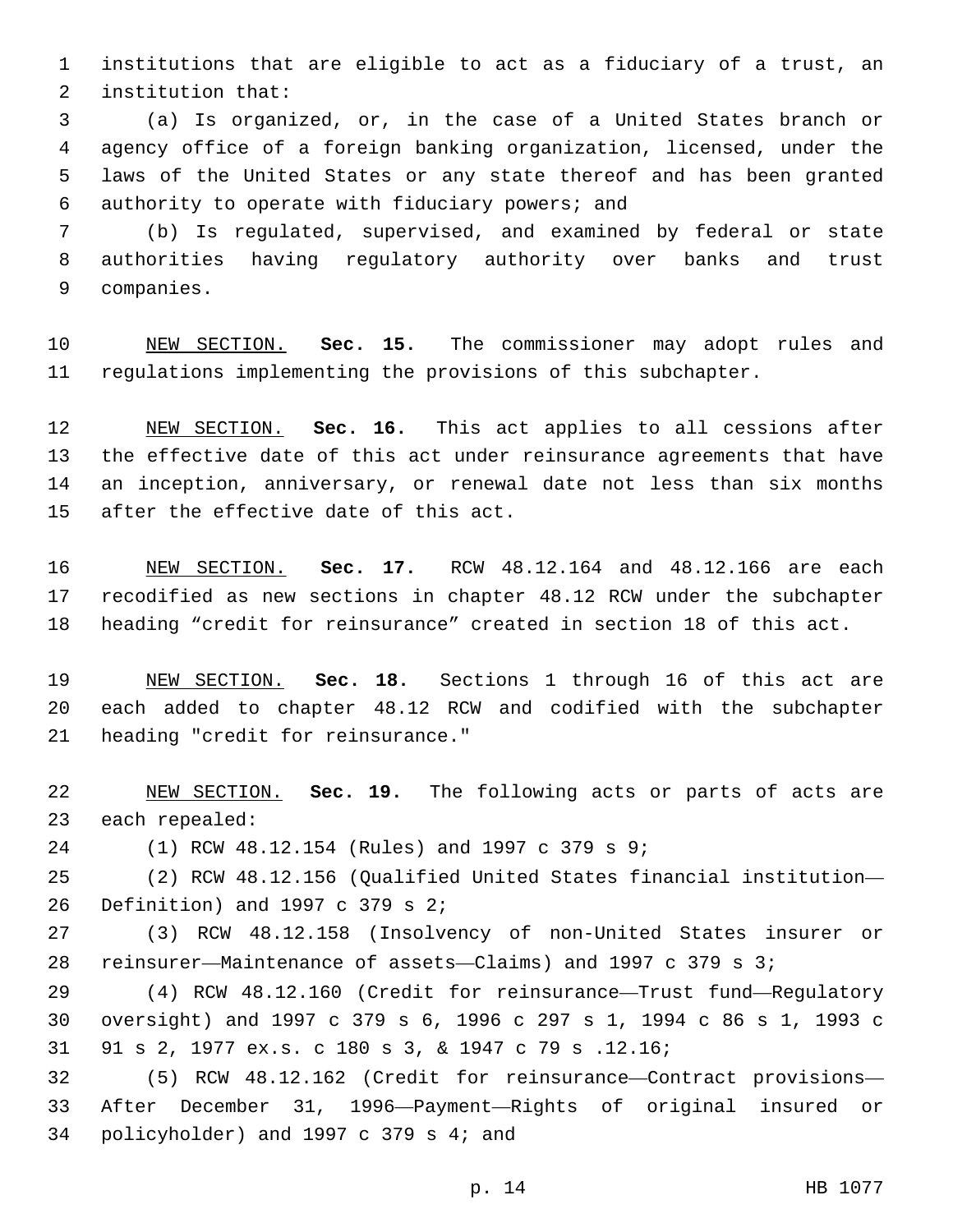institutions that are eligible to act as a fiduciary of a trust, an 2 institution that:

 (a) Is organized, or, in the case of a United States branch or agency office of a foreign banking organization, licensed, under the laws of the United States or any state thereof and has been granted 6 authority to operate with fiduciary powers; and

 (b) Is regulated, supervised, and examined by federal or state authorities having regulatory authority over banks and trust 9 companies.

 NEW SECTION. **Sec. 15.** The commissioner may adopt rules and regulations implementing the provisions of this subchapter.

 NEW SECTION. **Sec. 16.** This act applies to all cessions after the effective date of this act under reinsurance agreements that have an inception, anniversary, or renewal date not less than six months after the effective date of this act.

 NEW SECTION. **Sec. 17.** RCW 48.12.164 and 48.12.166 are each recodified as new sections in chapter 48.12 RCW under the subchapter heading "credit for reinsurance" created in section 18 of this act.

 NEW SECTION. **Sec. 18.** Sections 1 through 16 of this act are each added to chapter 48.12 RCW and codified with the subchapter heading "credit for reinsurance."

 NEW SECTION. **Sec. 19.** The following acts or parts of acts are each repealed:

(1) RCW 48.12.154 (Rules) and 1997 c 379 s 9;24

 (2) RCW 48.12.156 (Qualified United States financial institution— 26 Definition) and c 379 s 2;

 (3) RCW 48.12.158 (Insolvency of non-United States insurer or reinsurer—Maintenance of assets—Claims) and 1997 c 379 s 3;

 (4) RCW 48.12.160 (Credit for reinsurance—Trust fund—Regulatory oversight) and 1997 c 379 s 6, 1996 c 297 s 1, 1994 c 86 s 1, 1993 c 91 s 2, 1977 ex.s. c 180 s 3, & 1947 c 79 s .12.16;

 (5) RCW 48.12.162 (Credit for reinsurance—Contract provisions— After December 31, 1996—Payment—Rights of original insured or 34 policyholder) and c 379 s 4; and